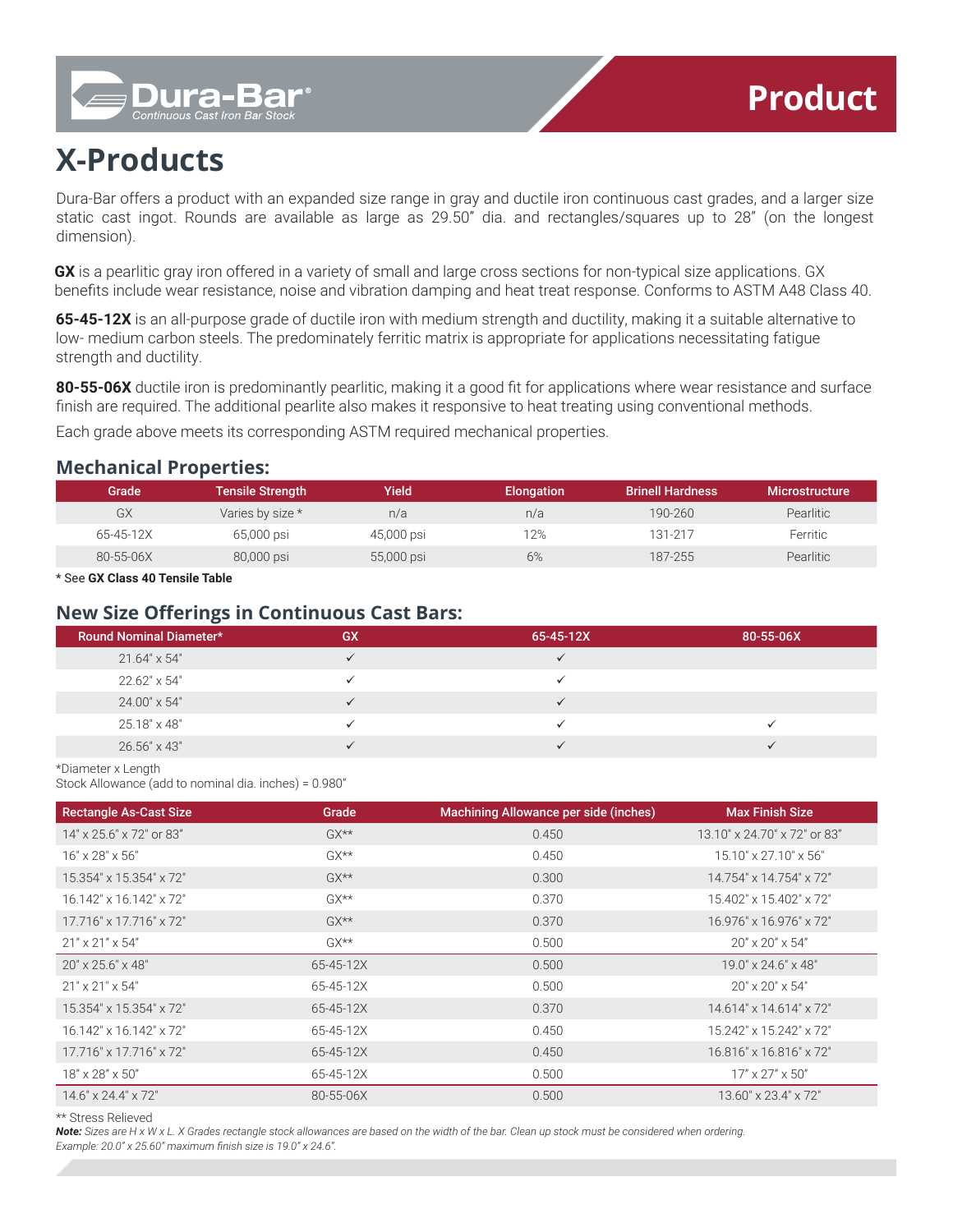# **X-Products**

Dura-B

Dura-Bar offers a product with an expanded size range in gray and ductile iron continuous cast grades, and a larger size static cast ingot. Rounds are available as large as 29.50" dia. and rectangles/squares up to 28" (on the longest dimension).

**GX** is a pearlitic gray iron offered in a variety of small and large cross sections for non-typical size applications. GX benefits include wear resistance, noise and vibration damping and heat treat response. Conforms to ASTM A48 Class 40.

**65-45-12X** is an all-purpose grade of ductile iron with medium strength and ductility, making it a suitable alternative to low- medium carbon steels. The predominately ferritic matrix is appropriate for applications necessitating fatigue strength and ductility.

**80-55-06X** ductile iron is predominantly pearlitic, making it a good fit for applications where wear resistance and surface finish are required. The additional pearlite also makes it responsive to heat treating using conventional methods.

Each grade above meets its corresponding ASTM required mechanical properties.

### **Mechanical Properties:**

| Grade     | <b>Tensile Strength</b> | Yield      | <b>Elongation</b> | <b>Brinell Hardness</b> | <b>Microstructure</b> |
|-----------|-------------------------|------------|-------------------|-------------------------|-----------------------|
| GX        | Varies by size *        | n/a        | n/a               | 190-260                 | <b>Pearlitic</b>      |
| 65-45-12X | 65,000 psi              | 45,000 psi | 12%               | 131-217                 | Ferritic              |
| 80-55-06X | 80,000 psi              | 55,000 psi | 6%                | 187-255                 | Pearlitic             |

\* See **GX Class 40 Tensile Table**

## **New Size Offerings in Continuous Cast Bars:**

| <b>Round Nominal Diameter*</b> | GX | 65-45-12X | 80-55-06X |
|--------------------------------|----|-----------|-----------|
| 21.64" x 54"                   |    |           |           |
| 22.62" x 54"                   |    |           |           |
| 24.00" x 54"                   |    |           |           |
| 25.18" x 48"                   |    |           |           |
| 26.56" x 43"                   |    |           |           |

\*Diameter x Length

Stock Allowance (add to nominal dia. inches) = 0.980"

| <b>Rectangle As-Cast Size</b>   | Grade              | Machining Allowance per side (inches) | <b>Max Finish Size</b>             |
|---------------------------------|--------------------|---------------------------------------|------------------------------------|
| 14" x 25.6" x 72" or 83"        | $GX^{\star\star}$  | 0.450                                 | 13.10" x 24.70" x 72" or 83"       |
| $16" \times 28" \times 56"$     | $G X^{\star\star}$ | 0.450                                 | $15.10" \times 27.10" \times 56"$  |
| 15.354" x 15.354" x 72"         | $GX^{\star\star}$  | 0.300                                 | 14.754" x 14.754" x 72"            |
| 16.142" x 16.142" x 72"         | $G X^{\star\star}$ | 0.370                                 | 15.402" x 15.402" x 72"            |
| 17.716" x 17.716" x 72"         | $GX^{\star\star}$  | 0.370                                 | 16.976" x 16.976" x 72"            |
| $21'' \times 21'' \times 54''$  | $G X^{\star\star}$ | 0.500                                 | $20'' \times 20'' \times 54''$     |
| 20" x 25.6" x 48"               | 65-45-12X          | 0.500                                 | $19.0'' \times 24.6'' \times 48''$ |
| $21" \times 21" \times 54"$     | 65-45-12X          | 0.500                                 | $20" \times 20" \times 54"$        |
| 15.354" x 15.354" x 72"         | 65-45-12X          | 0.370                                 | 14.614" x 14.614" x 72"            |
| 16.142" x 16.142" x 72"         | 65-45-12X          | 0.450                                 | 15.242" x 15.242" x 72"            |
| 17.716" x 17.716" x 72"         | 65-45-12X          | 0.450                                 | 16.816" x 16.816" x 72"            |
| 18" x 28" x 50"                 | 65-45-12X          | 0.500                                 | $17" \times 27" \times 50"$        |
| $14.6" \times 24.4" \times 72"$ | 80-55-06X          | 0.500                                 | 13.60" x 23.4" x 72"               |

\*\* Stress Relieved

*Note: Sizes are H x W x L. X Grades rectangle stock allowances are based on the width of the bar. Clean up stock must be considered when ordering. Example: 20.0" x 25.60" maximum finish size is 19.0" x 24.6".*